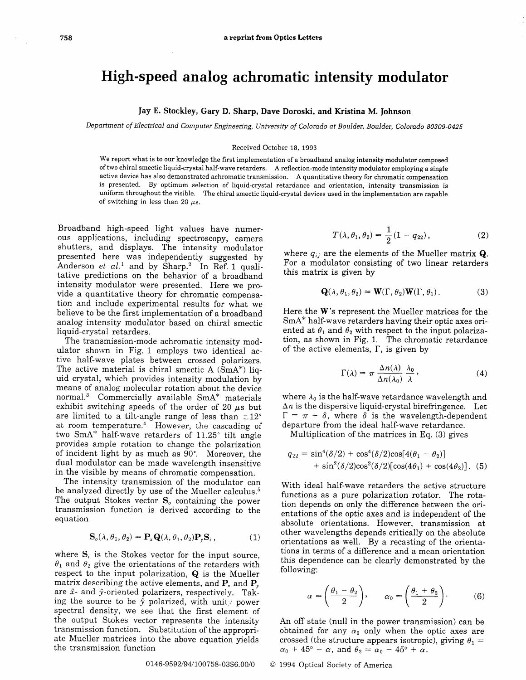## High-speed analog achromatic intensity modulator

## Jay E. Stockley, Gary D. Sharp, Dave Doroski, and Kristina M. Johnson

Department of Electrical and Computer Engineering, lJniversity of Colorado at Boulder, Boulder, Colorado 80309-0425

## Received October 18. 1993

We report what is to our knowledge the frrst implementation of a broadband analog intensity modulator composed of two chiral smectic liquid-crystal half-wave retarders. A reflection-mode intensity modulator employing a single active device has also demonstrated achromatic transmission. A quantitative theory for chromatic compensation is presented. By optimum selection of liquid-crystal retardance and orientation, intensity transmission is uniform throughout the visible. The chiral smectic liquid-crystal devices used in the implementation are capable of switching in less than 20  $\mu$ s.

Broadband high-speed light values have numerous applications, inciuding spectroscopy, camera shutters, and displays. The intensity modulator presented here was independently suggested by Anderson et  $al.$ <sup>1</sup> and by Sharp.<sup>2</sup> In Ref. 1 qualitative predictions on the behavior of a broadband intensity modulator were presented. Here we provide a quantitative theory for chromatic compensation and include experimental results for what we believe to be the first implementation of a broadband anaiog intensity modulator based on chiral smectic liquid-crystal retarders.

The transmission-mode achromatic intensity modulator shown in Fig. 1 employs two identical active half-wave plates between crossed polarizers. The active material is chiral smectic A  $(SmA^*)$  liquid crystal, which provides intensity modulation by means of analog molecular rotation about the device normal.3 Commercialiy available SmA\* materials exhibit switching speeds of the order of 20  $\mu$ s but are limited to a tilt-angle range of less than  $\pm 12^{\circ}$ at room temperature.<sup>4</sup> However, the cascading of two SmA\* half-wave retarders of 11.25° tilt angle provides ample rotation to change the polarization of incident light by as much as 90'. Moreover, the dual modulator can be made wavelength insensitive in the visible by means of chromatic compensation.

The intensity transmission of the modulator can be analyzed directly by use of the Mueller calculus.<sup>5</sup> The output Stokes vector  $S<sub>o</sub>$  containing the power transmission function is derived according to the equation

$$
\mathbf{S}_o(\lambda, \theta_1, \theta_2) = \mathbf{P}_x \mathbf{Q}(\lambda, \theta_1, \theta_2) \mathbf{P}_y \mathbf{S}_i, \qquad (1)
$$

where  $S_i$  is the Stokes vector for the input source,  $\theta_1$  and  $\theta_2$  give the orientations of the retarders with respect to the input polarization, Q is the Mueller matrix describing the active elements, and  $P_r$  and  $P_s$ are  $\hat{x}$ - and  $\hat{y}$ -oriented polarizers, respectively. Taking the source to be  $\hat{y}$  polarized, with unity power spectral density, we see that the first element of the output Stokes vector represents the intensity transmission function. Substitution of the appropriate Mueller matrices into the above equation yields the transmission function

$$
T(\lambda, \theta_1, \theta_2) = \frac{1}{2}(1 - q_{22}), \qquad (2)
$$

where  $q_{ij}$  are the elements of the Mueller matrix **Q**. For a modulator consisting of two linear retarders this matrix is given by

r,.

$$
\mathbf{Q}(\lambda, \theta_1, \theta_2) = \mathbf{W}(\Gamma, \theta_2) \mathbf{W}(\Gamma, \theta_1).
$$
 (3)

Here the W's represent the Mueller matrices for the SmA\* half-wave retarders having their optic axes oriented at  $\theta_1$  and  $\theta_2$  with respect to the input polarization, as shown in Fig. 1. The chromatic retardance of the active elements,  $\Gamma$ , is given by

$$
\Gamma(\lambda) = \pi \frac{\Delta n(\lambda)}{\Delta n(\lambda_0)} \frac{\lambda_0}{\lambda}, \qquad (4)
$$

where  $\lambda_0$  is the half-wave retardance wavelength and  $\Delta n$  is the dispersive liquid-crystal birefringence. Let  $\Gamma = \pi + \delta$ , where  $\delta$  is the wavelength-dependent departure from the ideal half-wave retardance.

Multiplication of the matrices in Eq. (3) gives

$$
q_{22} = \sin^4(\delta/2) + \cos^4(\delta/2)\cos[4(\theta_1 - \theta_2)]
$$
  
+  $\sin^2(\delta/2)\cos^2(\delta/2)[\cos(4\theta_1) + \cos(4\theta_2)].$  (5)

With ideal half-wave retarders the active structure functions as a pure polarization rotator. The rotation depends on only the difference between the orientations of the optic axes and is independent of the absolute orientations. However, transmission at other wavelengths depends critically on the absolute orientations as well. By a recasting of the orientations in terms of a difference and a mean orientation this dependence can be clearly demonstrated by the following:

$$
\alpha = \left(\frac{\theta_1 - \theta_2}{2}\right), \qquad \alpha_0 = \left(\frac{\theta_1 + \theta_2}{2}\right). \tag{6}
$$

An off state (null in the power transmission) can be obtained for any  $\alpha_0$  only when the optic axes are crossed (the structure appears isotropic), giving  $\theta_1 =$  $\alpha_0 + 45^\circ - \alpha$ , and  $\theta_2 = \alpha_0 - 45^\circ + \alpha$ .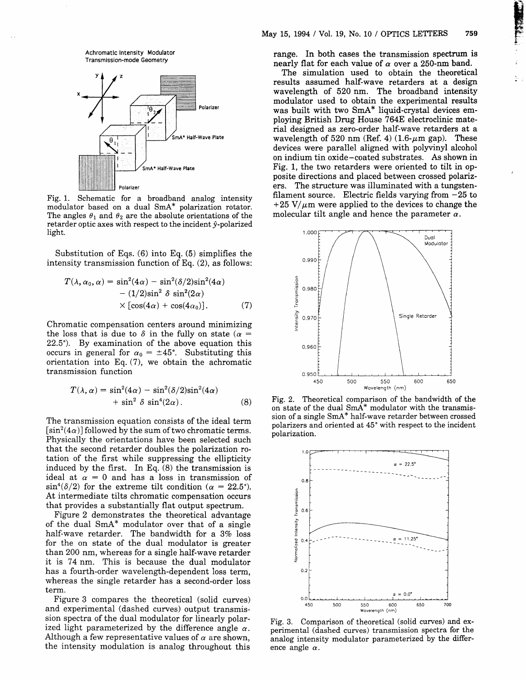Achromatic lntensity Modulator Transmission-mode Geometry



Fig. 1. Schematic for a broadband analog intensity modulator based on a dual SmA\* polarization rotator. The angles  $\theta_1$  and  $\theta_2$  are the absolute orientations of the retarder optic axes with respect to the incident  $\hat{y}$ -polarized light.

Substitution of Eqs. (6) into Eq. (5) simplifies the intensity transmission function of Eq. (2), as follows:

$$
T(\lambda, \alpha_0, \alpha) = \sin^2(4\alpha) - \sin^2(\delta/2)\sin^2(4\alpha)
$$

$$
- (1/2)\sin^2 \delta \sin^2(2\alpha)
$$

$$
\times [\cos(4\alpha) + \cos(4\alpha_0)].
$$
 (7)

Chromatic compensation centers around minimizing the loss that is due to  $\delta$  in the fully on state ( $\alpha$  = 22.5'). By examination of the above equation this occurs in general for  $\alpha_0 = \pm 45^{\circ}$ . Substituting this orientation into Eq. (7), we obtain the achromatic transmission function

$$
T(\lambda, \alpha) = \sin^2(4\alpha) - \sin^2(\delta/2)\sin^2(4\alpha) + \sin^2 \delta \sin^4(2\alpha).
$$
 (8)

The transmission equation consists of the ideal term  $[\sin^2(4\alpha)]$  followed by the sum of two chromatic terms. Physically the orientations have been selected such that the second retarder doubles the polarization rotation of the frrst while suppressing the ellipticity induced by the frrst. In Eq. (8) the transmission is ideal at  $\alpha = 0$  and has a loss in transmission of  $\sin^4(\delta/2)$  for the extreme tilt condition ( $\alpha = 22.5^{\circ}$ ). At intermediate tilts chromatic compensation occurs that provides a substantially flat output spectrum.

Figure 2 demonstrates the theoretical advantage of the dual SmA\* modulator over that of a single half-wave retarder. The bandwidth for a  $3\%$  loss for the on state of the dual modulator is greater than 200 nm, whereas for a single half-wave retarder it is 74 nm. This is because the dual modulator has a fourth-order wavelength-dependent loss term, whereas the single retarder has a second-order loss term.

Figure 3 compares the theoretical (solid curves) and experimental (dashed curves) output transmission spectra of the dual modulator for linearly polarized light parameterized by the difference angle  $\alpha$ . Although a few representative values of  $\alpha$  are shown, the intensity modulation is analog throughout this range. In both cases the transmission spectrum is nearly flat for each value of  $\alpha$  over a 250-nm band.

Hrand

The simulation used to obtain the theoretical results assumed half-wave retarders at a design wavelength of 520 nm. The broadband intensity modulator used to obtain the experimental results was built with two SmA\* liquid-crystal devices employing British Drug House 7648 electroclinic material designed as zero-order half-wave retarders at a wavelength of 520 nm (Ref. 4)  $(1.6-\mu m)$  gap). These devices were parallel aligned with polyvinyl alcohol on indium tin oxide-coated substrates. As shown in Fig. 1, the two retarders were oriented to tilt in opposite directions and placed between crossed polarizers. The structure was illuminated with a tungstenfilament source. Electric fields varying from  $-25$  to  $+25$  V/ $\mu$ m were applied to the devices to change the molecular tilt angle and hence the parameter  $\alpha$ .



Fig. 2. Theoretical comparison of the bandwidth of the on state of the dual SmA\* modulator with the transmission of a single SmA\* half-wave retarder between crossed polarizers and oriented at 45' with respect to the incident polarization.



Fig. 3. Comparison of theoretical (solid curves) and experimental (dashed curves) transmission spectra for the analog intensity modulator parameterized by the difference angle  $\alpha$ .